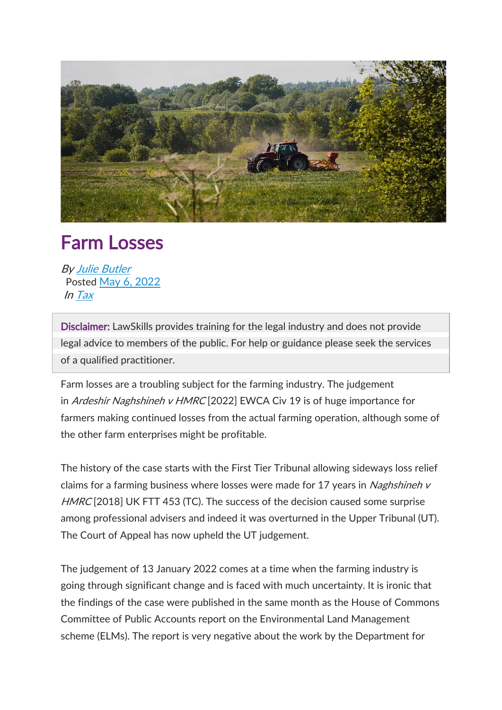

## Farm Losses

By Julie [Butler](https://www.lawskills.co.uk/articles/author/julie-butler/) Posted May 6, [2022](https://www.lawskills.co.uk/articles/2022/05/) In [Tax](https://www.lawskills.co.uk/articles/category/tax/)

Disclaimer: LawSkills provides training for the legal industry and does not provide legal advice to members of the public. For help or guidance please seek the services of a qualified practitioner.

Farm losses are a troubling subject for the farming industry. The judgement in Ardeshir Naghshineh v HMRC [2022] EWCA Civ 19 is of huge importance for farmers making continued losses from the actual farming operation, although some of the other farm enterprises might be profitable.

The history of the case starts with the First Tier Tribunal allowing sideways loss relief claims for a farming business where losses were made for 17 years in *Naghshineh v* HMRC [2018] UK FTT 453 (TC). The success of the decision caused some surprise among professional advisers and indeed it was overturned in the Upper Tribunal (UT). The Court of Appeal has now upheld the UT judgement.

The judgement of 13 January 2022 comes at a time when the farming industry is going through significant change and is faced with much uncertainty. It is ironic that the findings of the case were published in the same month as the House of Commons Committee of Public Accounts report on the Environmental Land Management scheme (ELMs). The report is very negative about the work by the Department for